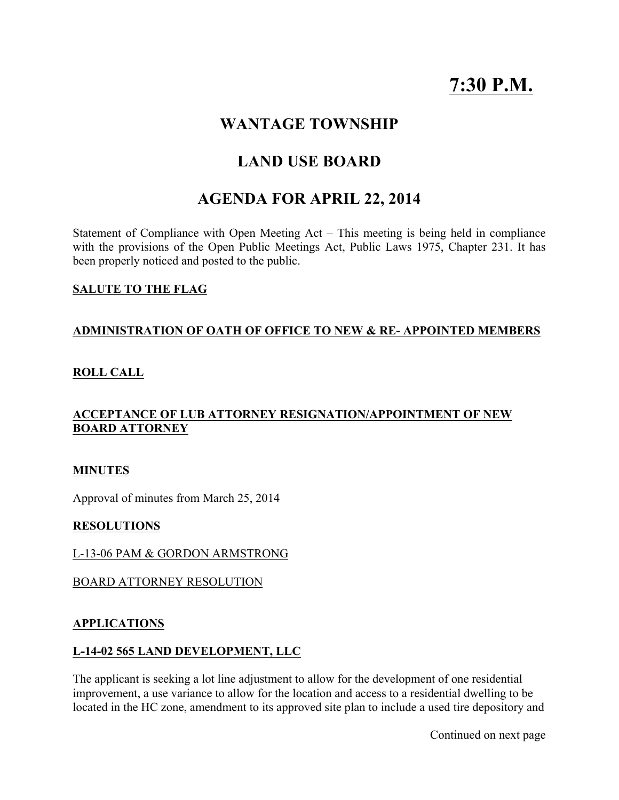# 7:30 P.M.

### WANTAGE TOWNSHIP

## LAND USE BOARD

# AGENDA FOR APRIL 22, 2014

Statement of Compliance with Open Meeting Act – This meeting is being held in compliance with the provisions of the Open Public Meetings Act, Public Laws 1975, Chapter 231. It has been properly noticed and posted to the public.

#### SALUTE TO THE FLAG

#### ADMINISTRATION OF OATH OF OFFICE TO NEW & RE- APPOINTED MEMBERS

#### ROLL CALL

#### ACCEPTANCE OF LUB ATTORNEY RESIGNATION/APPOINTMENT OF NEW BOARD ATTORNEY

#### MINUTES

Approval of minutes from March 25, 2014

#### RESOLUTIONS

#### L-13-06 PAM & GORDON ARMSTRONG

#### BOARD ATTORNEY RESOLUTION

#### APPLICATIONS

#### L-14-02 565 LAND DEVELOPMENT, LLC

The applicant is seeking a lot line adjustment to allow for the development of one residential improvement, a use variance to allow for the location and access to a residential dwelling to be located in the HC zone, amendment to its approved site plan to include a used tire depository and

Continued on next page